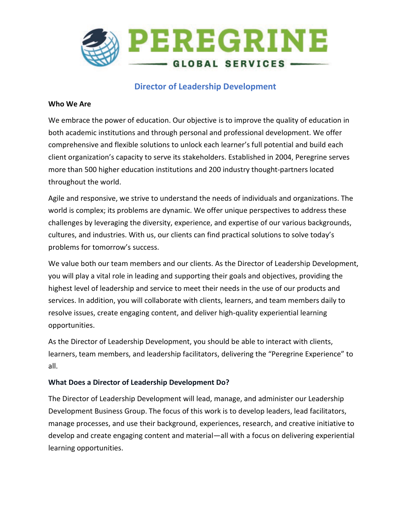

## **Director of Leadership Development**

#### **Who We Are**

We embrace the power of education. Our objective is to improve the quality of education in both academic institutions and through personal and professional development. We offer comprehensive and flexible solutions to unlock each learner's full potential and build each client organization's capacity to serve its stakeholders. Established in 2004, Peregrine serves more than 500 higher education institutions and 200 industry thought-partners located throughout the world.

Agile and responsive, we strive to understand the needs of individuals and organizations. The world is complex; its problems are dynamic. We offer unique perspectives to address these challenges by leveraging the diversity, experience, and expertise of our various backgrounds, cultures, and industries. With us, our clients can find practical solutions to solve today's problems for tomorrow's success.

We value both our team members and our clients. As the Director of Leadership Development, you will play a vital role in leading and supporting their goals and objectives, providing the highest level of leadership and service to meet their needs in the use of our products and services. In addition, you will collaborate with clients, learners, and team members daily to resolve issues, create engaging content, and deliver high-quality experiential learning opportunities.

As the Director of Leadership Development, you should be able to interact with clients, learners, team members, and leadership facilitators, delivering the "Peregrine Experience" to all.

### **What Does a Director of Leadership Development Do?**

The Director of Leadership Development will lead, manage, and administer our Leadership Development Business Group. The focus of this work is to develop leaders, lead facilitators, manage processes, and use their background, experiences, research, and creative initiative to develop and create engaging content and material—all with a focus on delivering experiential learning opportunities.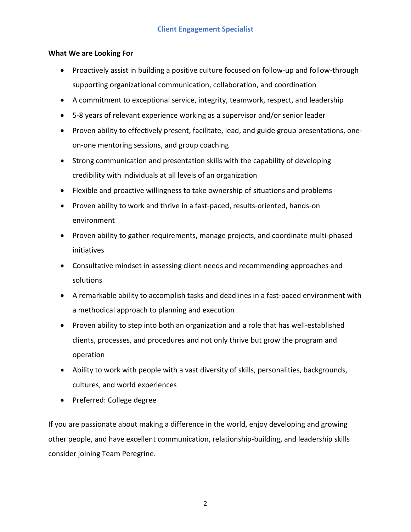#### **What We are Looking For**

- Proactively assist in building a positive culture focused on follow-up and follow-through supporting organizational communication, collaboration, and coordination
- A commitment to exceptional service, integrity, teamwork, respect, and leadership
- 5-8 years of relevant experience working as a supervisor and/or senior leader
- Proven ability to effectively present, facilitate, lead, and guide group presentations, oneon-one mentoring sessions, and group coaching
- Strong communication and presentation skills with the capability of developing credibility with individuals at all levels of an organization
- Flexible and proactive willingness to take ownership of situations and problems
- Proven ability to work and thrive in a fast-paced, results-oriented, hands-on environment
- Proven ability to gather requirements, manage projects, and coordinate multi-phased initiatives
- Consultative mindset in assessing client needs and recommending approaches and solutions
- A remarkable ability to accomplish tasks and deadlines in a fast-paced environment with a methodical approach to planning and execution
- Proven ability to step into both an organization and a role that has well-established clients, processes, and procedures and not only thrive but grow the program and operation
- Ability to work with people with a vast diversity of skills, personalities, backgrounds, cultures, and world experiences
- Preferred: College degree

If you are passionate about making a difference in the world, enjoy developing and growing other people, and have excellent communication, relationship-building, and leadership skills consider joining Team Peregrine.